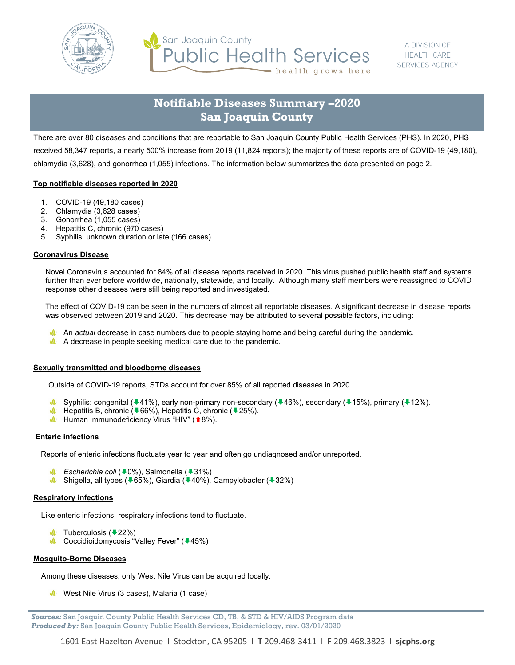

San Joaquin County ublic Health Services - health grows here

# **Notifiable Diseases Summary –2020 San Joaquin County**

There are over 80 diseases and conditions that are reportable to San Joaquin County Public Health Services (PHS). In 2020, PHS received 58,347 reports, a nearly 500% increase from 2019 (11,824 reports); the majority of these reports are of COVID-19 (49,180), chlamydia (3,628), and gonorrhea (1,055) infections. The information below summarizes the data presented on page 2.

## **Top notifiable diseases reported in 2020**

- 1. COVID-19 (49,180 cases)
- 2. Chlamydia (3,628 cases)
- 3. Gonorrhea (1,055 cases)
- 4. Hepatitis C, chronic (970 cases)
- 5. Syphilis, unknown duration or late (166 cases)

## **Coronavirus Disease**

Novel Coronavirus accounted for 84% of all disease reports received in 2020. This virus pushed public health staff and systems further than ever before worldwide, nationally, statewide, and locally. Although many staff members were reassigned to COVID response other diseases were still being reported and investigated.

The effect of COVID-19 can be seen in the numbers of almost all reportable diseases. A significant decrease in disease reports was observed between 2019 and 2020. This decrease may be attributed to several possible factors, including:

- An *actual* decrease in case numbers due to people staying home and being careful during the pandemic.
- A decrease in people seeking medical care due to the pandemic. J.

#### **Sexually transmitted and bloodborne diseases**

Outside of COVID-19 reports, STDs account for over 85% of all reported diseases in 2020.

- Syphilis: congenital ( $\blacktriangleright$ 41%), early non-primary non-secondary ( $\blacktriangleright$ 46%), secondary ( $\blacktriangleright$ 15%), primary ( $\blacktriangleright$ 42%).
- **A** Hepatitis B, chronic ( $\blacktriangleright$  66%), Hepatitis C, chronic ( $\blacktriangleright$  25%).
- Human Immunodeficiency Virus "HIV" (18%).

#### **Enteric infections**

Reports of enteric infections fluctuate year to year and often go undiagnosed and/or unreported.

- **A** Escherichia coli (♦0%), Salmonella (♦31%)
- Shigella, all types ( $\blacklozenge$  65%), Giardia ( $\blacklozenge$  40%), Campylobacter ( $\blacklozenge$  32%)

#### **Respiratory infections**

Like enteric infections, respiratory infections tend to fluctuate.

 $\triangle$  Tuberculosis ( $\triangle$  22%) Coccidioidomycosis "Valley Fever" (+45%)

#### **Mosquito-Borne Diseases**

Among these diseases, only West Nile Virus can be acquired locally.

West Nile Virus (3 cases), Malaria (1 case)

*Sources:* San Joaquin County Public Health Services CD, TB, & STD & HIV/AIDS Program data  *Produced by:* San Joaquin County Public Health Services, Epidemiology, rev. 03/01/2020